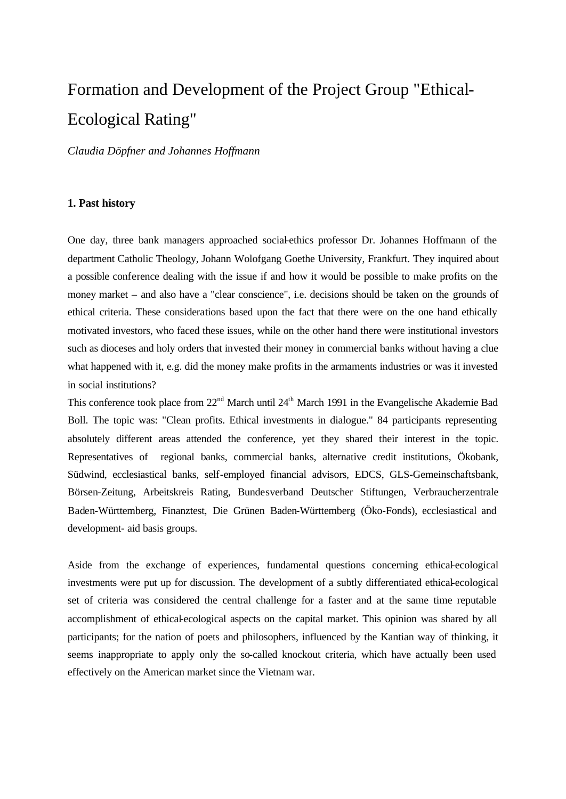# Formation and Development of the Project Group "Ethical-Ecological Rating"

*Claudia Döpfner and Johannes Hoffmann*

## **1. Past history**

One day, three bank managers approached social-ethics professor Dr. Johannes Hoffmann of the department Catholic Theology, Johann Wolofgang Goethe University, Frankfurt. They inquired about a possible conference dealing with the issue if and how it would be possible to make profits on the money market – and also have a "clear conscience", i.e. decisions should be taken on the grounds of ethical criteria. These considerations based upon the fact that there were on the one hand ethically motivated investors, who faced these issues, while on the other hand there were institutional investors such as dioceses and holy orders that invested their money in commercial banks without having a clue what happened with it, e.g. did the money make profits in the armaments industries or was it invested in social institutions?

This conference took place from 22<sup>nd</sup> March until 24<sup>th</sup> March 1991 in the Evangelische Akademie Bad Boll. The topic was: "Clean profits. Ethical investments in dialogue." 84 participants representing absolutely different areas attended the conference, yet they shared their interest in the topic. Representatives of regional banks, commercial banks, alternative credit institutions, Ökobank, Südwind, ecclesiastical banks, self-employed financial advisors, EDCS, GLS-Gemeinschaftsbank, Börsen-Zeitung, Arbeitskreis Rating, Bundesverband Deutscher Stiftungen, Verbraucherzentrale Baden-Württemberg, Finanztest, Die Grünen Baden-Württemberg (Öko-Fonds), ecclesiastical and development- aid basis groups.

Aside from the exchange of experiences, fundamental questions concerning ethical-ecological investments were put up for discussion. The development of a subtly differentiated ethical-ecological set of criteria was considered the central challenge for a faster and at the same time reputable accomplishment of ethical-ecological aspects on the capital market. This opinion was shared by all participants; for the nation of poets and philosophers, influenced by the Kantian way of thinking, it seems inappropriate to apply only the so-called knockout criteria, which have actually been used effectively on the American market since the Vietnam war.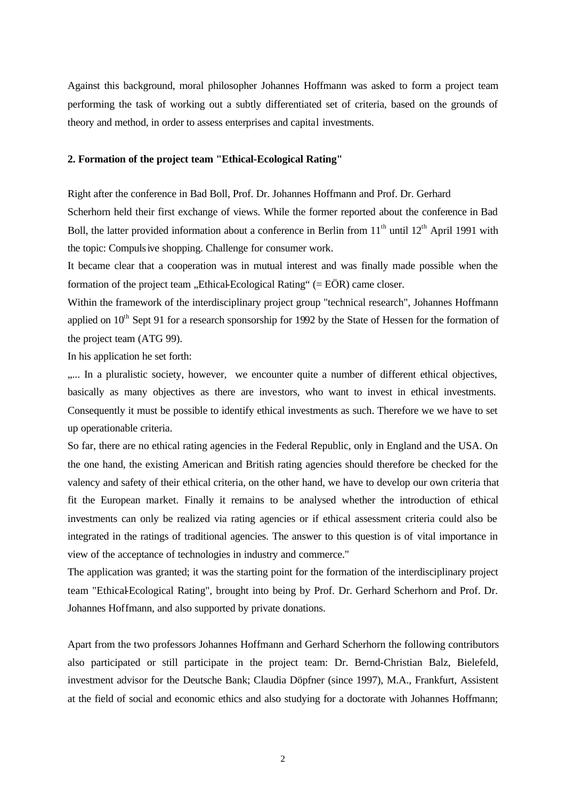Against this background, moral philosopher Johannes Hoffmann was asked to form a project team performing the task of working out a subtly differentiated set of criteria, based on the grounds of theory and method, in order to assess enterprises and capital investments.

### **2. Formation of the project team "Ethical-Ecological Rating"**

Right after the conference in Bad Boll, Prof. Dr. Johannes Hoffmann and Prof. Dr. Gerhard Scherhorn held their first exchange of views. While the former reported about the conference in Bad Boll, the latter provided information about a conference in Berlin from  $11<sup>th</sup>$  until  $12<sup>th</sup>$  April 1991 with the topic: Compulsive shopping. Challenge for consumer work.

It became clear that a cooperation was in mutual interest and was finally made possible when the formation of the project team  $n$ . Ethical-Ecological Rating" (= EÖR) came closer.

Within the framework of the interdisciplinary project group "technical research", Johannes Hoffmann applied on  $10<sup>th</sup>$  Sept 91 for a research sponsorship for 1992 by the State of Hessen for the formation of the project team (ATG 99).

In his application he set forth:

..... In a pluralistic society, however, we encounter quite a number of different ethical objectives, basically as many objectives as there are investors, who want to invest in ethical investments. Consequently it must be possible to identify ethical investments as such. Therefore we we have to set up operationable criteria.

So far, there are no ethical rating agencies in the Federal Republic, only in England and the USA. On the one hand, the existing American and British rating agencies should therefore be checked for the valency and safety of their ethical criteria, on the other hand, we have to develop our own criteria that fit the European market. Finally it remains to be analysed whether the introduction of ethical investments can only be realized via rating agencies or if ethical assessment criteria could also be integrated in the ratings of traditional agencies. The answer to this question is of vital importance in view of the acceptance of technologies in industry and commerce."

The application was granted; it was the starting point for the formation of the interdisciplinary project team "Ethical-Ecological Rating", brought into being by Prof. Dr. Gerhard Scherhorn and Prof. Dr. Johannes Hoffmann, and also supported by private donations.

Apart from the two professors Johannes Hoffmann and Gerhard Scherhorn the following contributors also participated or still participate in the project team: Dr. Bernd-Christian Balz, Bielefeld, investment advisor for the Deutsche Bank; Claudia Döpfner (since 1997), M.A., Frankfurt, Assistent at the field of social and economic ethics and also studying for a doctorate with Johannes Hoffmann;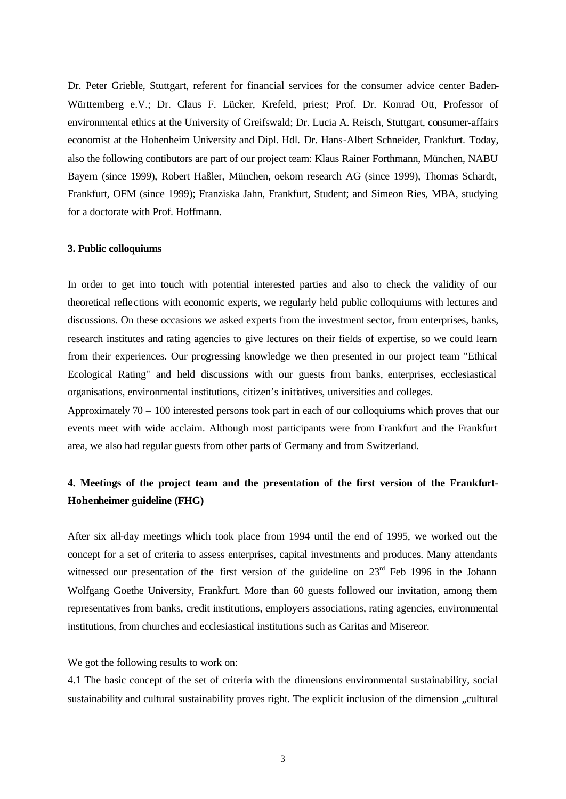Dr. Peter Grieble, Stuttgart, referent for financial services for the consumer advice center Baden-Württemberg e.V.; Dr. Claus F. Lücker, Krefeld, priest; Prof. Dr. Konrad Ott, Professor of environmental ethics at the University of Greifswald; Dr. Lucia A. Reisch, Stuttgart, consumer-affairs economist at the Hohenheim University and Dipl. Hdl. Dr. Hans-Albert Schneider, Frankfurt. Today, also the following contibutors are part of our project team: Klaus Rainer Forthmann, München, NABU Bayern (since 1999), Robert Haßler, München, oekom research AG (since 1999), Thomas Schardt, Frankfurt, OFM (since 1999); Franziska Jahn, Frankfurt, Student; and Simeon Ries, MBA, studying for a doctorate with Prof. Hoffmann.

### **3. Public colloquiums**

In order to get into touch with potential interested parties and also to check the validity of our theoretical refle ctions with economic experts, we regularly held public colloquiums with lectures and discussions. On these occasions we asked experts from the investment sector, from enterprises, banks, research institutes and rating agencies to give lectures on their fields of expertise, so we could learn from their experiences. Our progressing knowledge we then presented in our project team "Ethical Ecological Rating" and held discussions with our guests from banks, enterprises, ecclesiastical organisations, environmental institutions, citizen's initiatives, universities and colleges.

Approximately 70 – 100 interested persons took part in each of our colloquiums which proves that our events meet with wide acclaim. Although most participants were from Frankfurt and the Frankfurt area, we also had regular guests from other parts of Germany and from Switzerland.

# **4. Meetings of the project team and the presentation of the first version of the Frankfurt-Hohenheimer guideline (FHG)**

After six all-day meetings which took place from 1994 until the end of 1995, we worked out the concept for a set of criteria to assess enterprises, capital investments and produces. Many attendants witnessed our presentation of the first version of the guideline on  $23<sup>rd</sup>$  Feb 1996 in the Johann Wolfgang Goethe University, Frankfurt. More than 60 guests followed our invitation, among them representatives from banks, credit institutions, employers associations, rating agencies, environmental institutions, from churches and ecclesiastical institutions such as Caritas and Misereor.

We got the following results to work on:

4.1 The basic concept of the set of criteria with the dimensions environmental sustainability, social sustainability and cultural sustainability proves right. The explicit inclusion of the dimension "cultural"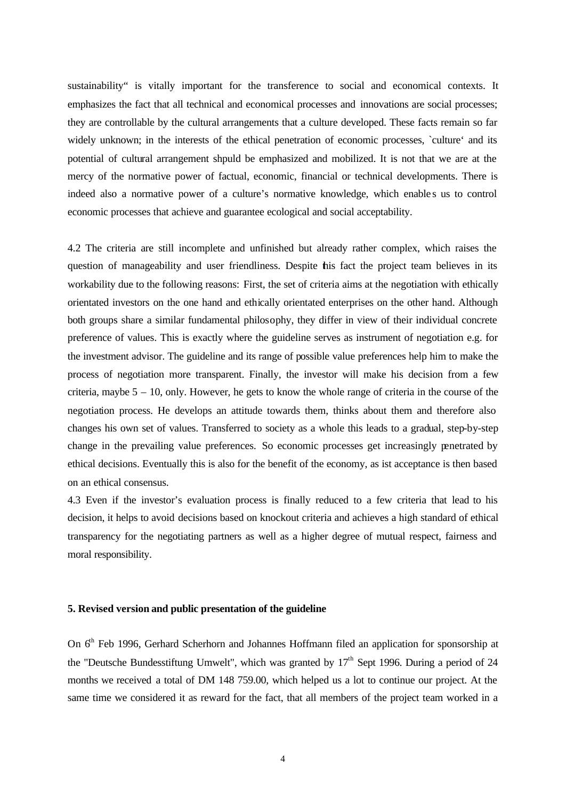sustainability" is vitally important for the transference to social and economical contexts. It emphasizes the fact that all technical and economical processes and innovations are social processes; they are controllable by the cultural arrangements that a culture developed. These facts remain so far widely unknown; in the interests of the ethical penetration of economic processes, `culture' and its potential of cultural arrangement shpuld be emphasized and mobilized. It is not that we are at the mercy of the normative power of factual, economic, financial or technical developments. There is indeed also a normative power of a culture's normative knowledge, which enables us to control economic processes that achieve and guarantee ecological and social acceptability.

4.2 The criteria are still incomplete and unfinished but already rather complex, which raises the question of manageability and user friendliness. Despite this fact the project team believes in its workability due to the following reasons: First, the set of criteria aims at the negotiation with ethically orientated investors on the one hand and ethically orientated enterprises on the other hand. Although both groups share a similar fundamental philosophy, they differ in view of their individual concrete preference of values. This is exactly where the guideline serves as instrument of negotiation e.g. for the investment advisor. The guideline and its range of possible value preferences help him to make the process of negotiation more transparent. Finally, the investor will make his decision from a few criteria, maybe 5 – 10, only. However, he gets to know the whole range of criteria in the course of the negotiation process. He develops an attitude towards them, thinks about them and therefore also changes his own set of values. Transferred to society as a whole this leads to a gradual, step-by-step change in the prevailing value preferences. So economic processes get increasingly penetrated by ethical decisions. Eventually this is also for the benefit of the economy, as ist acceptance is then based on an ethical consensus.

4.3 Even if the investor's evaluation process is finally reduced to a few criteria that lead to his decision, it helps to avoid decisions based on knockout criteria and achieves a high standard of ethical transparency for the negotiating partners as well as a higher degree of mutual respect, fairness and moral responsibility.

### **5. Revised version and public presentation of the guideline**

On 6<sup>th</sup> Feb 1996, Gerhard Scherhorn and Johannes Hoffmann filed an application for sponsorship at the "Deutsche Bundesstiftung Umwelt", which was granted by  $17<sup>th</sup>$  Sept 1996. During a period of 24 months we received a total of DM 148 759.00, which helped us a lot to continue our project. At the same time we considered it as reward for the fact, that all members of the project team worked in a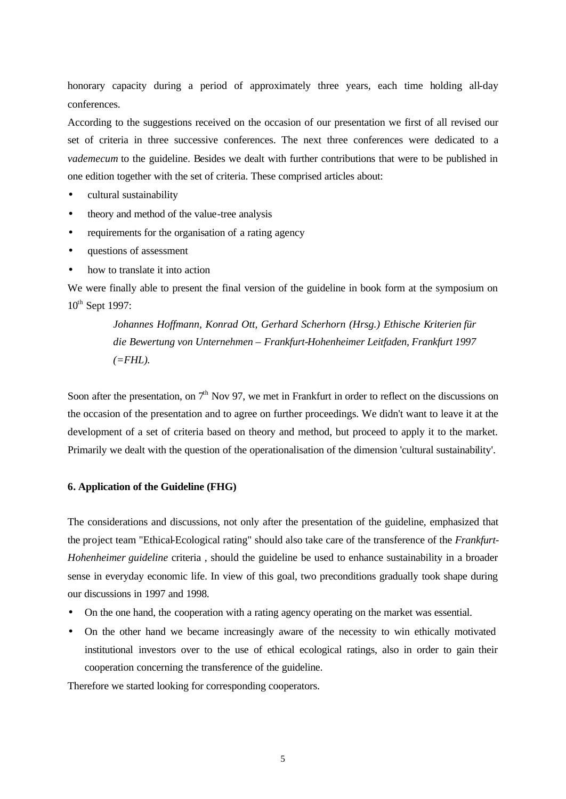honorary capacity during a period of approximately three years, each time holding all-day conferences.

According to the suggestions received on the occasion of our presentation we first of all revised our set of criteria in three successive conferences. The next three conferences were dedicated to a *vademecum* to the guideline. Besides we dealt with further contributions that were to be published in one edition together with the set of criteria. These comprised articles about:

- cultural sustainability
- theory and method of the value-tree analysis
- requirements for the organisation of a rating agency
- questions of assessment
- how to translate it into action

We were finally able to present the final version of the guideline in book form at the symposium on  $10^{th}$  Sept 1997:

> *Johannes Hoffmann, Konrad Ott, Gerhard Scherhorn (Hrsg.) Ethische Kriterien für die Bewertung von Unternehmen – Frankfurt-Hohenheimer Leitfaden, Frankfurt 1997 (=FHL).*

Soon after the presentation, on  $7<sup>th</sup>$  Nov 97, we met in Frankfurt in order to reflect on the discussions on the occasion of the presentation and to agree on further proceedings. We didn't want to leave it at the development of a set of criteria based on theory and method, but proceed to apply it to the market. Primarily we dealt with the question of the operationalisation of the dimension 'cultural sustainability'.

### **6. Application of the Guideline (FHG)**

The considerations and discussions, not only after the presentation of the guideline, emphasized that the project team "Ethical-Ecological rating" should also take care of the transference of the *Frankfurt-Hohenheimer guideline* criteria , should the guideline be used to enhance sustainability in a broader sense in everyday economic life. In view of this goal, two preconditions gradually took shape during our discussions in 1997 and 1998.

- On the one hand, the cooperation with a rating agency operating on the market was essential.
- On the other hand we became increasingly aware of the necessity to win ethically motivated institutional investors over to the use of ethical ecological ratings, also in order to gain their cooperation concerning the transference of the guideline.

Therefore we started looking for corresponding cooperators.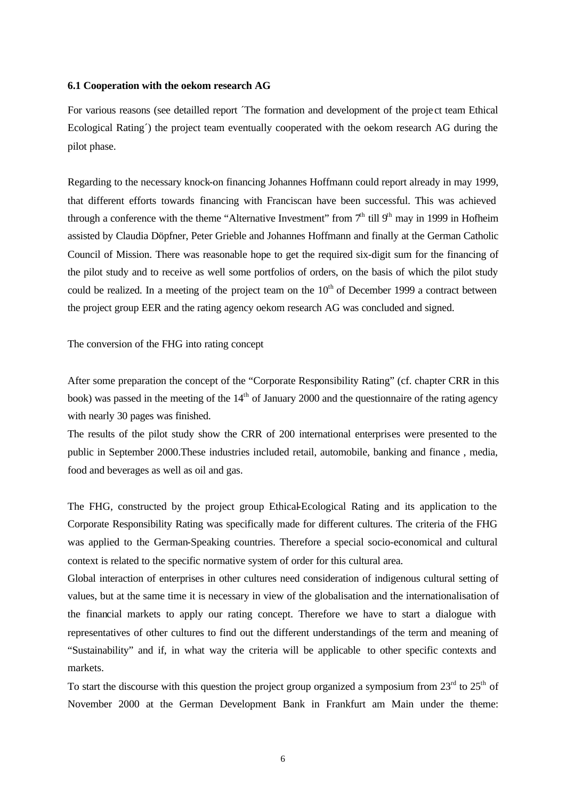#### **6.1 Cooperation with the oekom research AG**

For various reasons (see detailled report ´The formation and development of the proje ct team Ethical Ecological Rating´) the project team eventually cooperated with the oekom research AG during the pilot phase.

Regarding to the necessary knock-on financing Johannes Hoffmann could report already in may 1999, that different efforts towards financing with Franciscan have been successful. This was achieved through a conference with the theme "Alternative Investment" from  $7<sup>th</sup>$  till  $9<sup>th</sup>$  may in 1999 in Hofheim assisted by Claudia Döpfner, Peter Grieble and Johannes Hoffmann and finally at the German Catholic Council of Mission. There was reasonable hope to get the required six-digit sum for the financing of the pilot study and to receive as well some portfolios of orders, on the basis of which the pilot study could be realized. In a meeting of the project team on the  $10<sup>th</sup>$  of December 1999 a contract between the project group EER and the rating agency oekom research AG was concluded and signed.

The conversion of the FHG into rating concept

After some preparation the concept of the "Corporate Responsibility Rating" (cf. chapter CRR in this book) was passed in the meeting of the  $14<sup>th</sup>$  of January 2000 and the questionnaire of the rating agency with nearly 30 pages was finished.

The results of the pilot study show the CRR of 200 international enterprises were presented to the public in September 2000.These industries included retail, automobile, banking and finance , media, food and beverages as well as oil and gas.

The FHG, constructed by the project group Ethical-Ecological Rating and its application to the Corporate Responsibility Rating was specifically made for different cultures. The criteria of the FHG was applied to the German-Speaking countries. Therefore a special socio-economical and cultural context is related to the specific normative system of order for this cultural area.

Global interaction of enterprises in other cultures need consideration of indigenous cultural setting of values, but at the same time it is necessary in view of the globalisation and the internationalisation of the financial markets to apply our rating concept. Therefore we have to start a dialogue with representatives of other cultures to find out the different understandings of the term and meaning of "Sustainability" and if, in what way the criteria will be applicable to other specific contexts and markets.

To start the discourse with this question the project group organized a symposium from  $23<sup>rd</sup>$  to  $25<sup>th</sup>$  of November 2000 at the German Development Bank in Frankfurt am Main under the theme: